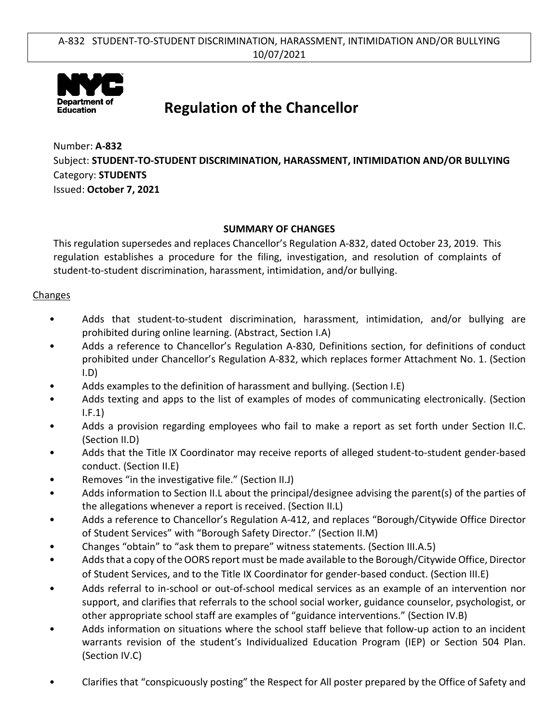

# **Regulation of the Chancellor**

Number: **A-832** Subject: **STUDENT-TO-STUDENT DISCRIMINATION, HARASSMENT, INTIMIDATION AND/OR BULLYING** Category: **STUDENTS** Issued: **October 7, 2021**

## **SUMMARY OF CHANGES**

This regulation supersedes and replaces Chancellor's Regulation A-832, dated October 23, 2019. This regulation establishes a procedure for the filing, investigation, and resolution of complaints of student-to-student discrimination, harassment, intimidation, and/or bullying.

### **Changes**

- Adds that student-to-student discrimination, harassment, intimidation, and/or bullying are prohibited during online learning. (Abstract, Section I.A)
- Adds a reference to Chancellor's Regulation A-830, Definitions section, for definitions of conduct prohibited under Chancellor's Regulation A-832, which replaces former Attachment No. 1. (Section I.D)
- Adds examples to the definition of harassment and bullying. (Section I.E)
- Adds texting and apps to the list of examples of modes of communicating electronically. (Section I.F.1)
- Adds a provision regarding employees who fail to make a report as set forth under Section II.C. (Section II.D)
- Adds that the Title IX Coordinator may receive reports of alleged student-to-student gender-based conduct. (Section II.E)
- Removes "in the investigative file." (Section II.J)
- Adds information to Section II.L about the principal/designee advising the parent(s) of the parties of the allegations whenever a report is received. (Section II.L)
- Adds a reference to Chancellor's Regulation A-412, and replaces "Borough/Citywide Office Director of Student Services" with "Borough Safety Director." (Section II.M)
- Changes "obtain" to "ask them to prepare" witness statements. (Section III.A.5)
- Adds that a copy of the OORS report must be made available to the Borough/Citywide Office, Director of Student Services, and to the Title IX Coordinator for gender-based conduct. (Section III.E)
- Adds referral to in-school or out-of-school medical services as an example of an intervention nor support, and clarifies that referrals to the school social worker, guidance counselor, psychologist, or other appropriate school staff are examples of "guidance interventions." (Section IV.B)
- Adds information on situations where the school staff believe that follow-up action to an incident warrants revision of the student's Individualized Education Program (IEP) or Section 504 Plan. (Section IV.C)
- Clarifies that "conspicuously posting" the Respect for All poster prepared by the Office of Safety and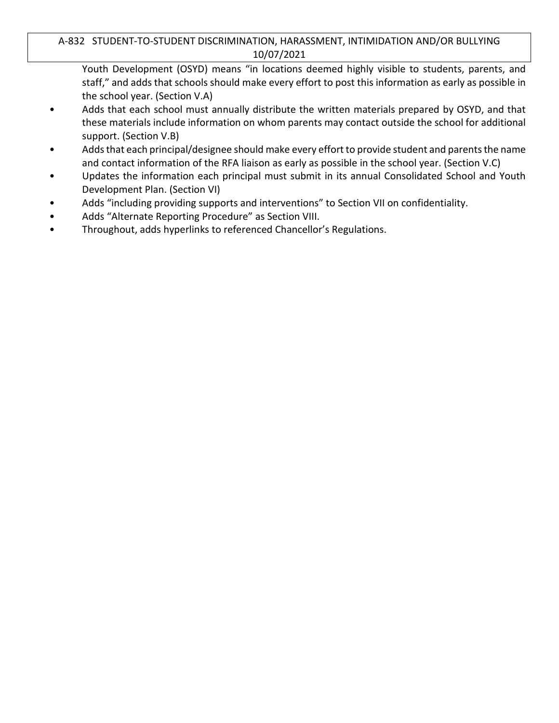## A-832 STUDENT-TO-STUDENT DISCRIMINATION, HARASSMENT, INTIMIDATION AND/OR BULLYING 10/07/2021

Youth Development (OSYD) means "in locations deemed highly visible to students, parents, and staff," and adds that schools should make every effort to post this information as early as possible in the school year. (Section V.A)

- Adds that each school must annually distribute the written materials prepared by OSYD, and that these materials include information on whom parents may contact outside the school for additional support. (Section V.B)
- Adds that each principal/designee should make every effort to provide student and parents the name and contact information of the RFA liaison as early as possible in the school year. (Section V.C)
- Updates the information each principal must submit in its annual Consolidated School and Youth Development Plan. (Section VI)
- Adds "including providing supports and interventions" to Section VII on confidentiality.
- Adds "Alternate Reporting Procedure" as Section VIII.
- Throughout, adds hyperlinks to referenced Chancellor's Regulations.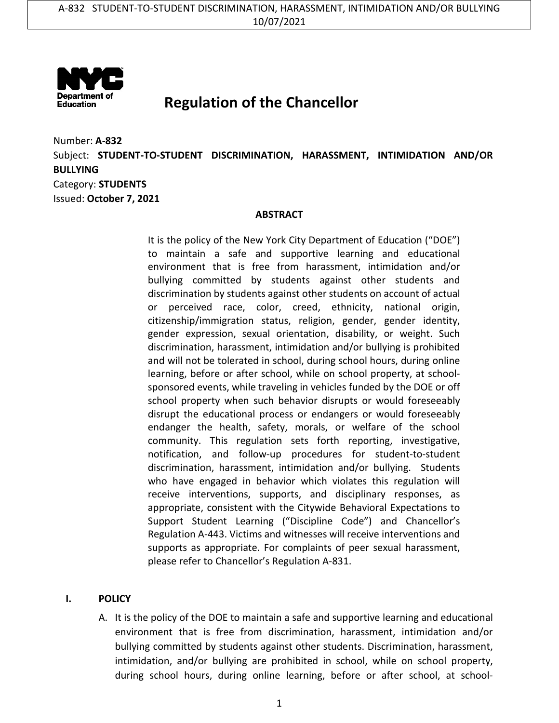

# **Regulation of the Chancellor**

Number: **A-832** Subject: **STUDENT-TO-STUDENT DISCRIMINATION, HARASSMENT, INTIMIDATION AND/OR BULLYING** Category: **STUDENTS** Issued: **October 7, 2021**

#### **ABSTRACT**

It is the policy of the New York City Department of Education ("DOE") to maintain a safe and supportive learning and educational environment that is free from harassment, intimidation and/or bullying committed by students against other students and discrimination by students against other students on account of actual or perceived race, color, creed, ethnicity, national origin, citizenship/immigration status, religion, gender, gender identity, gender expression, sexual orientation, disability, or weight. Such discrimination, harassment, intimidation and/or bullying is prohibited and will not be tolerated in school, during school hours, during online learning, before or after school, while on school property, at schoolsponsored events, while traveling in vehicles funded by the DOE or off school property when such behavior disrupts or would foreseeably disrupt the educational process or endangers or would foreseeably endanger the health, safety, morals, or welfare of the school community. This regulation sets forth reporting, investigative, notification, and follow-up procedures for student-to-student discrimination, harassment, intimidation and/or bullying. Students who have engaged in behavior which violates this regulation will receive interventions, supports, and disciplinary responses, as appropriate, consistent with the Citywide Behavioral Expectations to Support Student Learning ("Discipline Code") and Chancellor's Regulation A-443. Victims and witnesses will receive interventions and supports as appropriate. For complaints of peer sexual harassment, please refer to Chancellor's Regulation A-831.

#### **I. POLICY**

A. It is the policy of the DOE to maintain a safe and supportive learning and educational environment that is free from discrimination, harassment, intimidation and/or bullying committed by students against other students. Discrimination, harassment, intimidation, and/or bullying are prohibited in school, while on school property, during school hours, during online learning, before or after school, at school-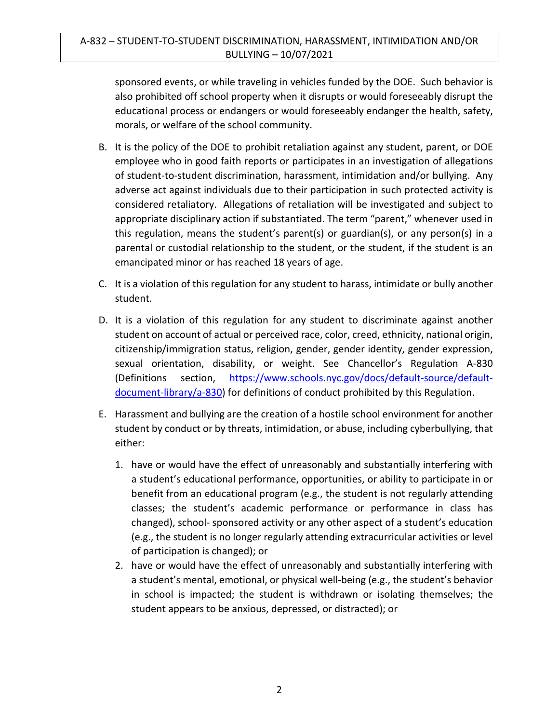## A-832 – STUDENT-TO-STUDENT DISCRIMINATION, HARASSMENT, INTIMIDATION AND/OR BULLYING – 10/07/2021

sponsored events, or while traveling in vehicles funded by the DOE. Such behavior is also prohibited off school property when it disrupts or would foreseeably disrupt the educational process or endangers or would foreseeably endanger the health, safety, morals, or welfare of the school community.

- B. It is the policy of the DOE to prohibit retaliation against any student, parent, or DOE employee who in good faith reports or participates in an investigation of allegations of student-to-student discrimination, harassment, intimidation and/or bullying. Any adverse act against individuals due to their participation in such protected activity is considered retaliatory. Allegations of retaliation will be investigated and subject to appropriate disciplinary action if substantiated. The term "parent," whenever used in this regulation, means the student's parent(s) or guardian(s), or any person(s) in a parental or custodial relationship to the student, or the student, if the student is an emancipated minor or has reached 18 years of age.
- C. It is a violation of this regulation for any student to harass, intimidate or bully another student.
- D. It is a violation of this regulation for any student to discriminate against another student on account of actual or perceived race, color, creed, ethnicity, national origin, citizenship/immigration status, religion, gender, gender identity, gender expression, sexual orientation, disability, or weight. See Chancellor's Regulation A-830 (Definitions section, [https://www.schools.nyc.gov/docs/default-source/default](https://www.schools.nyc.gov/docs/default-source/default-document-library/a-830)[document-library/a-830\)](https://www.schools.nyc.gov/docs/default-source/default-document-library/a-830) for definitions of conduct prohibited by this Regulation.
- E. Harassment and bullying are the creation of a hostile school environment for another student by conduct or by threats, intimidation, or abuse, including cyberbullying, that either:
	- 1. have or would have the effect of unreasonably and substantially interfering with a student's educational performance, opportunities, or ability to participate in or benefit from an educational program (e.g., the student is not regularly attending classes; the student's academic performance or performance in class has changed), school- sponsored activity or any other aspect of a student's education (e.g., the student is no longer regularly attending extracurricular activities or level of participation is changed); or
	- 2. have or would have the effect of unreasonably and substantially interfering with a student's mental, emotional, or physical well-being (e.g., the student's behavior in school is impacted; the student is withdrawn or isolating themselves; the student appears to be anxious, depressed, or distracted); or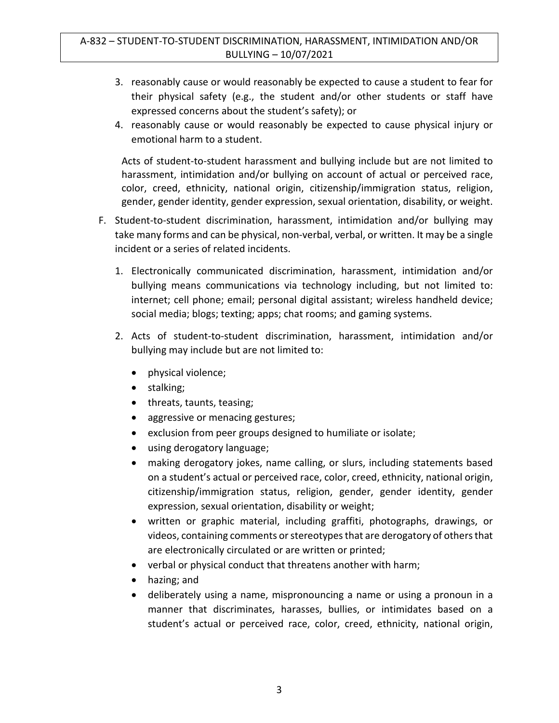- 3. reasonably cause or would reasonably be expected to cause a student to fear for their physical safety (e.g., the student and/or other students or staff have expressed concerns about the student's safety); or
- 4. reasonably cause or would reasonably be expected to cause physical injury or emotional harm to a student.

Acts of student-to-student harassment and bullying include but are not limited to harassment, intimidation and/or bullying on account of actual or perceived race, color, creed, ethnicity, national origin, citizenship/immigration status, religion, gender, gender identity, gender expression, sexual orientation, disability, or weight.

- F. Student-to-student discrimination, harassment, intimidation and/or bullying may take many forms and can be physical, non-verbal, verbal, or written. It may be a single incident or a series of related incidents.
	- 1. Electronically communicated discrimination, harassment, intimidation and/or bullying means communications via technology including, but not limited to: internet; cell phone; email; personal digital assistant; wireless handheld device; social media; blogs; texting; apps; chat rooms; and gaming systems.
	- 2. Acts of student-to-student discrimination, harassment, intimidation and/or bullying may include but are not limited to:
		- physical violence;
		- stalking;
		- threats, taunts, teasing;
		- aggressive or menacing gestures;
		- exclusion from peer groups designed to humiliate or isolate;
		- using derogatory language;
		- making derogatory jokes, name calling, or slurs, including statements based on a student's actual or perceived race, color, creed, ethnicity, national origin, citizenship/immigration status, religion, gender, gender identity, gender expression, sexual orientation, disability or weight;
		- written or graphic material, including graffiti, photographs, drawings, or videos, containing comments or stereotypesthat are derogatory of others that are electronically circulated or are written or printed;
		- verbal or physical conduct that threatens another with harm;
		- hazing; and
		- deliberately using a name, mispronouncing a name or using a pronoun in a manner that discriminates, harasses, bullies, or intimidates based on a student's actual or perceived race, color, creed, ethnicity, national origin,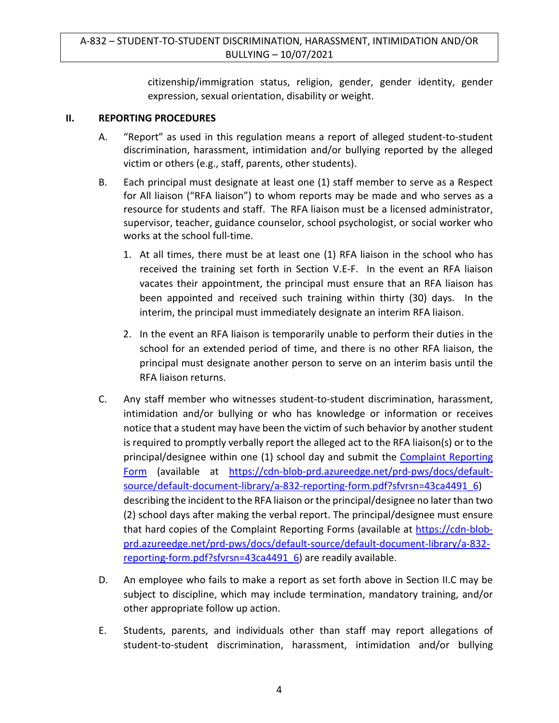citizenship/immigration status, religion, gender, gender identity, gender expression, sexual orientation, disability or weight.

#### **II. REPORTING PROCEDURES**

- A. "Report" as used in this regulation means a report of alleged student-to-student discrimination, harassment, intimidation and/or bullying reported by the alleged victim or others (e.g., staff, parents, other students).
- B. Each principal must designate at least one (1) staff member to serve as a Respect for All liaison ("RFA liaison") to whom reports may be made and who serves as a resource for students and staff. The RFA liaison must be a licensed administrator, supervisor, teacher, guidance counselor, school psychologist, or social worker who works at the school full-time.
	- 1. At all times, there must be at least one (1) RFA liaison in the school who has received the training set forth in Section V.E-F. In the event an RFA liaison vacates their appointment, the principal must ensure that an RFA liaison has been appointed and received such training within thirty (30) days. In the interim, the principal must immediately designate an interim RFA liaison.
	- 2. In the event an RFA liaison is temporarily unable to perform their duties in the school for an extended period of time, and there is no other RFA liaison, the principal must designate another person to serve on an interim basis until the RFA liaison returns.
- C. Any staff member who witnesses student-to-student discrimination, harassment, intimidation and/or bullying or who has knowledge or information or receives notice that a student may have been the victim of such behavior by another student is required to promptly verbally report the alleged act to the RFA liaison(s) or to the principal/designee within one (1) school day and submit the [Complaint Reporting](https://cdn-blob-prd.azureedge.net/prd-pws/docs/default-source/default-document-library/a-832-reporting-form.pdf?sfvrsn=43ca4491_6)  [Form](https://cdn-blob-prd.azureedge.net/prd-pws/docs/default-source/default-document-library/a-832-reporting-form.pdf?sfvrsn=43ca4491_6) (available at [https://cdn-blob-prd.azureedge.net/prd-pws/docs/default](https://cdn-blob-prd.azureedge.net/prd-pws/docs/default-source/default-document-library/a-832-reporting-form.pdf?sfvrsn=43ca4491_6)[source/default-document-library/a-832-reporting-form.pdf?sfvrsn=43ca4491\\_6\)](https://cdn-blob-prd.azureedge.net/prd-pws/docs/default-source/default-document-library/a-832-reporting-form.pdf?sfvrsn=43ca4491_6) describing the incident to the RFA liaison or the principal/designee no later than two (2) school days after making the verbal report. The principal/designee must ensure that hard copies of the Complaint Reporting Forms (available at [https://cdn-blob](https://cdn-blob-prd.azureedge.net/prd-pws/docs/default-source/default-document-library/a-832-reporting-form.pdf?sfvrsn=43ca4491_6)[prd.azureedge.net/prd-pws/docs/default-source/default-document-library/a-832](https://cdn-blob-prd.azureedge.net/prd-pws/docs/default-source/default-document-library/a-832-reporting-form.pdf?sfvrsn=43ca4491_6) [reporting-form.pdf?sfvrsn=43ca4491\\_6\)](https://cdn-blob-prd.azureedge.net/prd-pws/docs/default-source/default-document-library/a-832-reporting-form.pdf?sfvrsn=43ca4491_6) are readily available.
- D. An employee who fails to make a report as set forth above in Section II.C may be subject to discipline, which may include termination, mandatory training, and/or other appropriate follow up action.
- E. Students, parents, and individuals other than staff may report allegations of student-to-student discrimination, harassment, intimidation and/or bullying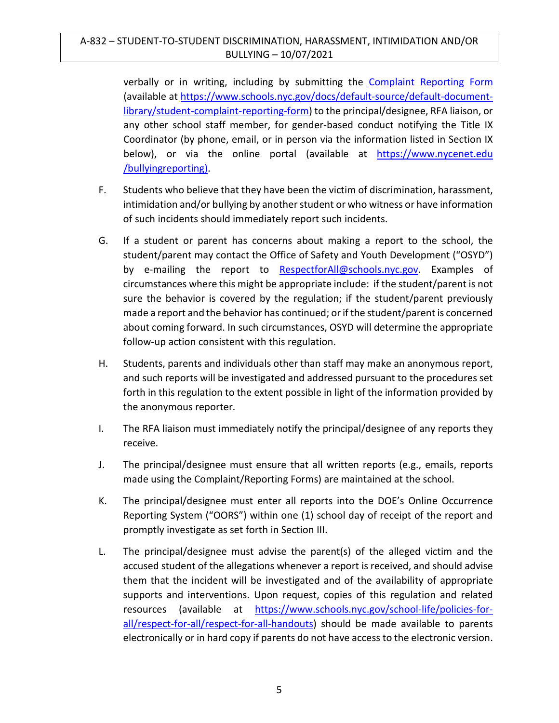verbally or in writing, including by submitting the [Complaint Reporting Form](https://www.schools.nyc.gov/docs/default-source/default-document-library/student-complaint-reporting-form) (available at [https://www.schools.nyc.gov/docs/default-source/default-document](https://www.schools.nyc.gov/docs/default-source/default-document-library/student-complaint-reporting-form)[library/student-complaint-reporting-form\)](https://www.schools.nyc.gov/docs/default-source/default-document-library/student-complaint-reporting-form) to the principal/designee, RFA liaison, or any other school staff member, for gender-based conduct notifying the Title IX Coordinator (by phone, email, or in person via the information listed in Section IX below), or via the online portal (available at https://www.nycenet.edu /bullyingreporting).

- F. Students who believe that they have been the victim of discrimination, harassment, intimidation and/or bullying by another student or who witness or have information of such incidents should immediately report such incidents.
- G. If a student or parent has concerns about making a report to the school, the student/parent may contact the Office of Safety and Youth Development ("OSYD") by e-mailing the report to [RespectforAll@schools.nyc.gov.](mailto:RespectforAll@schools.nyc.gov) Examples of circumstances where this might be appropriate include: if the student/parent is not sure the behavior is covered by the regulation; if the student/parent previously made a report and the behavior has continued; or if the student/parent is concerned about coming forward. In such circumstances, OSYD will determine the appropriate follow-up action consistent with this regulation.
- H. Students, parents and individuals other than staff may make an anonymous report, and such reports will be investigated and addressed pursuant to the procedures set forth in this regulation to the extent possible in light of the information provided by the anonymous reporter.
- I. The RFA liaison must immediately notify the principal/designee of any reports they receive.
- J. The principal/designee must ensure that all written reports (e.g., emails, reports made using the Complaint/Reporting Forms) are maintained at the school.
- K. The principal/designee must enter all reports into the DOE's Online Occurrence Reporting System ("OORS") within one (1) school day of receipt of the report and promptly investigate as set forth in Section III.
- L. The principal/designee must advise the parent(s) of the alleged victim and the accused student of the allegations whenever a report is received, and should advise them that the incident will be investigated and of the availability of appropriate supports and interventions. Upon request, copies of this regulation and related resources (available at [https://www.schools.nyc.gov/school-life/policies-for](https://www.schools.nyc.gov/school-life/policies-for-all/respect-for-all/respect-for-all-handouts)[all/respect-for-all/respect-for-all-handouts\)](https://www.schools.nyc.gov/school-life/policies-for-all/respect-for-all/respect-for-all-handouts) should be made available to parents electronically or in hard copy if parents do not have access to the electronic version.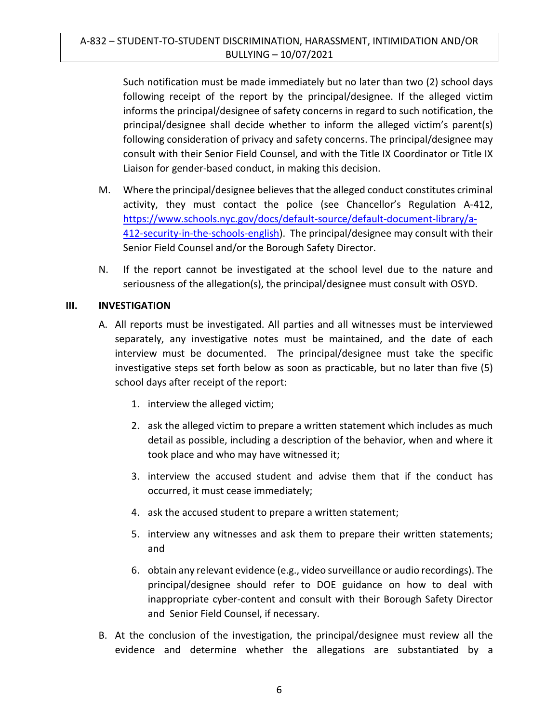Such notification must be made immediately but no later than two (2) school days following receipt of the report by the principal/designee. If the alleged victim informs the principal/designee of safety concerns in regard to such notification, the principal/designee shall decide whether to inform the alleged victim's parent(s) following consideration of privacy and safety concerns. The principal/designee may consult with their Senior Field Counsel, and with the Title IX Coordinator or Title IX Liaison for gender-based conduct, in making this decision.

- M. Where the principal/designee believes that the alleged conduct constitutes criminal activity, they must contact the police (see Chancellor's Regulation A-412, [https://www.schools.nyc.gov/docs/default-source/default-document-library/a-](https://www.schools.nyc.gov/docs/default-source/default-document-library/a-412-security-in-the-schools-english)[412-security-in-the-schools-english\)](https://www.schools.nyc.gov/docs/default-source/default-document-library/a-412-security-in-the-schools-english). The principal/designee may consult with their Senior Field Counsel and/or the Borough Safety Director.
- N. If the report cannot be investigated at the school level due to the nature and seriousness of the allegation(s), the principal/designee must consult with OSYD.

## **III. INVESTIGATION**

- A. All reports must be investigated. All parties and all witnesses must be interviewed separately, any investigative notes must be maintained, and the date of each interview must be documented. The principal/designee must take the specific investigative steps set forth below as soon as practicable, but no later than five (5) school days after receipt of the report:
	- 1. interview the alleged victim;
	- 2. ask the alleged victim to prepare a written statement which includes as much detail as possible, including a description of the behavior, when and where it took place and who may have witnessed it;
	- 3. interview the accused student and advise them that if the conduct has occurred, it must cease immediately;
	- 4. ask the accused student to prepare a written statement;
	- 5. interview any witnesses and ask them to prepare their written statements; and
	- 6. obtain any relevant evidence (e.g., video surveillance or audio recordings). The principal/designee should refer to DOE guidance on how to deal with inappropriate cyber-content and consult with their Borough Safety Director and Senior Field Counsel, if necessary.
- B. At the conclusion of the investigation, the principal/designee must review all the evidence and determine whether the allegations are substantiated by a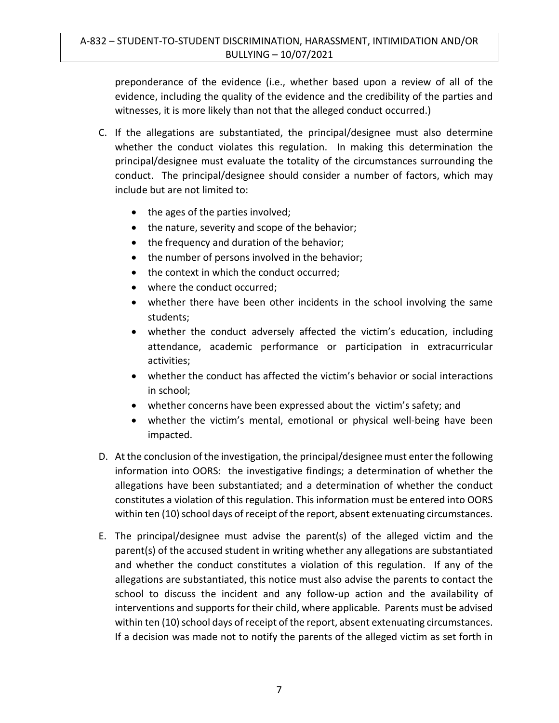preponderance of the evidence (i.e., whether based upon a review of all of the evidence, including the quality of the evidence and the credibility of the parties and witnesses, it is more likely than not that the alleged conduct occurred.)

- C. If the allegations are substantiated, the principal/designee must also determine whether the conduct violates this regulation. In making this determination the principal/designee must evaluate the totality of the circumstances surrounding the conduct. The principal/designee should consider a number of factors, which may include but are not limited to:
	- the ages of the parties involved;
	- the nature, severity and scope of the behavior;
	- the frequency and duration of the behavior;
	- the number of persons involved in the behavior;
	- the context in which the conduct occurred;
	- where the conduct occurred:
	- whether there have been other incidents in the school involving the same students;
	- whether the conduct adversely affected the victim's education, including attendance, academic performance or participation in extracurricular activities;
	- whether the conduct has affected the victim's behavior or social interactions in school;
	- whether concerns have been expressed about the victim's safety; and
	- whether the victim's mental, emotional or physical well-being have been impacted.
- D. At the conclusion of the investigation, the principal/designee must enter the following information into OORS: the investigative findings; a determination of whether the allegations have been substantiated; and a determination of whether the conduct constitutes a violation of this regulation. This information must be entered into OORS within ten (10) school days of receipt of the report, absent extenuating circumstances.
- E. The principal/designee must advise the parent(s) of the alleged victim and the parent(s) of the accused student in writing whether any allegations are substantiated and whether the conduct constitutes a violation of this regulation. If any of the allegations are substantiated, this notice must also advise the parents to contact the school to discuss the incident and any follow-up action and the availability of interventions and supports for their child, where applicable. Parents must be advised within ten (10) school days of receipt of the report, absent extenuating circumstances. If a decision was made not to notify the parents of the alleged victim as set forth in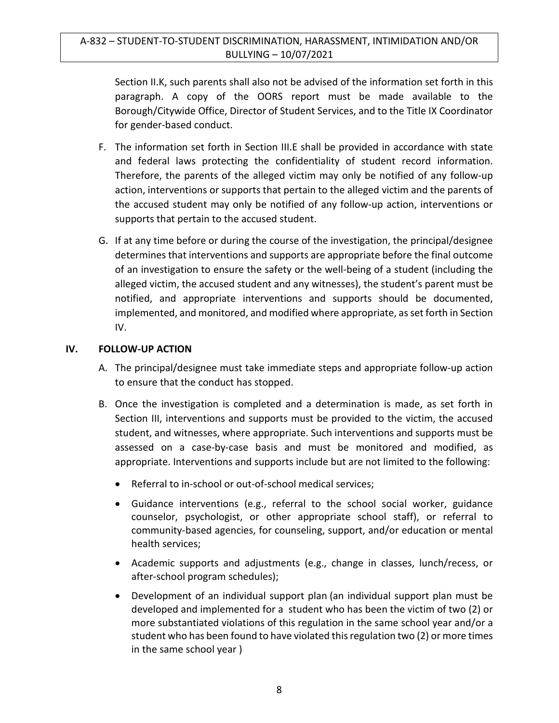Section II.K, such parents shall also not be advised of the information set forth in this paragraph. A copy of the OORS report must be made available to the Borough/Citywide Office, Director of Student Services, and to the Title IX Coordinator for gender-based conduct.

- F. The information set forth in Section III.E shall be provided in accordance with state and federal laws protecting the confidentiality of student record information. Therefore, the parents of the alleged victim may only be notified of any follow-up action, interventions or supports that pertain to the alleged victim and the parents of the accused student may only be notified of any follow-up action, interventions or supports that pertain to the accused student.
- G. If at any time before or during the course of the investigation, the principal/designee determines that interventions and supports are appropriate before the final outcome of an investigation to ensure the safety or the well-being of a student (including the alleged victim, the accused student and any witnesses), the student's parent must be notified, and appropriate interventions and supports should be documented, implemented, and monitored, and modified where appropriate, as set forth in Section IV.

## **IV. FOLLOW-UP ACTION**

- A. The principal/designee must take immediate steps and appropriate follow-up action to ensure that the conduct has stopped.
- B. Once the investigation is completed and a determination is made, as set forth in Section III, interventions and supports must be provided to the victim, the accused student, and witnesses, where appropriate. Such interventions and supports must be assessed on a case-by-case basis and must be monitored and modified, as appropriate. Interventions and supports include but are not limited to the following:
	- Referral to in-school or out-of-school medical services;
	- Guidance interventions (e.g., referral to the school social worker, guidance counselor, psychologist, or other appropriate school staff), or referral to community-based agencies, for counseling, support, and/or education or mental health services;
	- Academic supports and adjustments (e.g., change in classes, lunch/recess, or after-school program schedules);
	- Development of an individual support plan (an individual support plan must be developed and implemented for a student who has been the victim of two (2) or more substantiated violations of this regulation in the same school year and/or a student who has been found to have violated this regulation two (2) or more times in the same school year )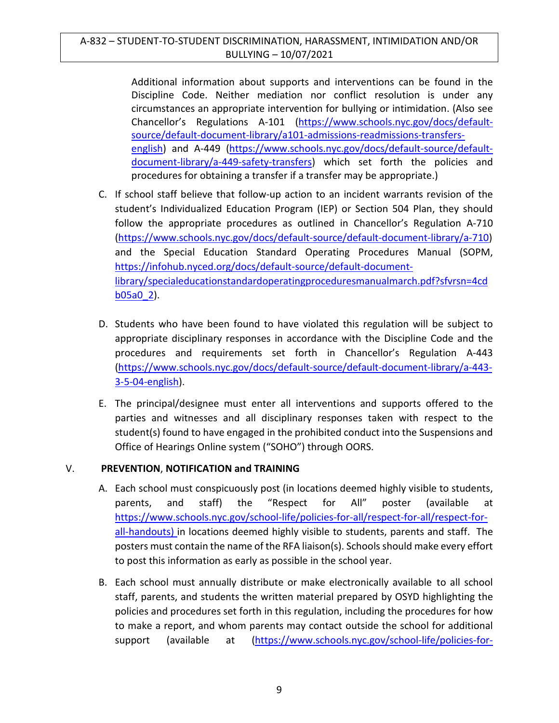Additional information about supports and interventions can be found in the Discipline Code. Neither mediation nor conflict resolution is under any circumstances an appropriate intervention for bullying or intimidation. (Also see Chancellor's Regulations A-101 [\(https://www.schools.nyc.gov/docs/default](https://www.schools.nyc.gov/docs/default-source/default-document-library/a101-admissions-readmissions-transfers-english)[source/default-document-library/a101-admissions-readmissions-transfers](https://www.schools.nyc.gov/docs/default-source/default-document-library/a101-admissions-readmissions-transfers-english)[english\)](https://www.schools.nyc.gov/docs/default-source/default-document-library/a101-admissions-readmissions-transfers-english) and A-449 [\(https://www.schools.nyc.gov/docs/default-source/default](https://www.schools.nyc.gov/docs/default-source/default-document-library/a-449-safety-transfers)[document-library/a-449-safety-transfers\)](https://www.schools.nyc.gov/docs/default-source/default-document-library/a-449-safety-transfers) which set forth the policies and procedures for obtaining a transfer if a transfer may be appropriate.)

- C. If school staff believe that follow-up action to an incident warrants revision of the student's Individualized Education Program (IEP) or Section 504 Plan, they should follow the appropriate procedures as outlined in Chancellor's Regulation A-710 [\(https://www.schools.nyc.gov/docs/default-source/default-document-library/a-710\)](https://www.schools.nyc.gov/docs/default-source/default-document-library/a-710) and the Special Education Standard Operating Procedures Manual (SOPM, [https://infohub.nyced.org/docs/default-source/default-document](https://infohub.nyced.org/docs/default-source/default-document-library/specialeducationstandardoperatingproceduresmanualmarch.pdf?sfvrsn=4cdb05a0_2)[library/specialeducationstandardoperatingproceduresmanualmarch.pdf?sfvrsn=4cd](https://infohub.nyced.org/docs/default-source/default-document-library/specialeducationstandardoperatingproceduresmanualmarch.pdf?sfvrsn=4cdb05a0_2) [b05a0\\_2\)](https://infohub.nyced.org/docs/default-source/default-document-library/specialeducationstandardoperatingproceduresmanualmarch.pdf?sfvrsn=4cdb05a0_2).
- D. Students who have been found to have violated this regulation will be subject to appropriate disciplinary responses in accordance with the Discipline Code and the procedures and requirements set forth in Chancellor's Regulation A-443 [\(https://www.schools.nyc.gov/docs/default-source/default-document-library/a-443-](https://www.schools.nyc.gov/docs/default-source/default-document-library/a-443-3-5-04-english) [3-5-04-english\)](https://www.schools.nyc.gov/docs/default-source/default-document-library/a-443-3-5-04-english).
- E. The principal/designee must enter all interventions and supports offered to the parties and witnesses and all disciplinary responses taken with respect to the student(s) found to have engaged in the prohibited conduct into the Suspensions and Office of Hearings Online system ("SOHO") through OORS.

## V. **PREVENTION**, **NOTIFICATION and TRAINING**

- A. Each school must conspicuously post (in locations deemed highly visible to students, parents, and staff) the "Respect for All" poster (available at [https://www.schools.nyc.gov/school-life/policies-for-all/respect-for-all/respect-for](https://www.schools.nyc.gov/school-life/policies-for-all/respect-for-all/respect-for-all-handouts)[all-handouts\)](https://www.schools.nyc.gov/school-life/policies-for-all/respect-for-all/respect-for-all-handouts) in locations deemed highly visible to students, parents and staff. The posters must contain the name of the RFA liaison(s). Schools should make every effort to post this information as early as possible in the school year.
- B. Each school must annually distribute or make electronically available to all school staff, parents, and students the written material prepared by OSYD highlighting the policies and procedures set forth in this regulation, including the procedures for how to make a report, and whom parents may contact outside the school for additional support (available at [\(https://www.schools.nyc.gov/school-life/policies-for-](https://www.schools.nyc.gov/school-life/policies-for-all/respect-for-all/respect-for-all-handouts)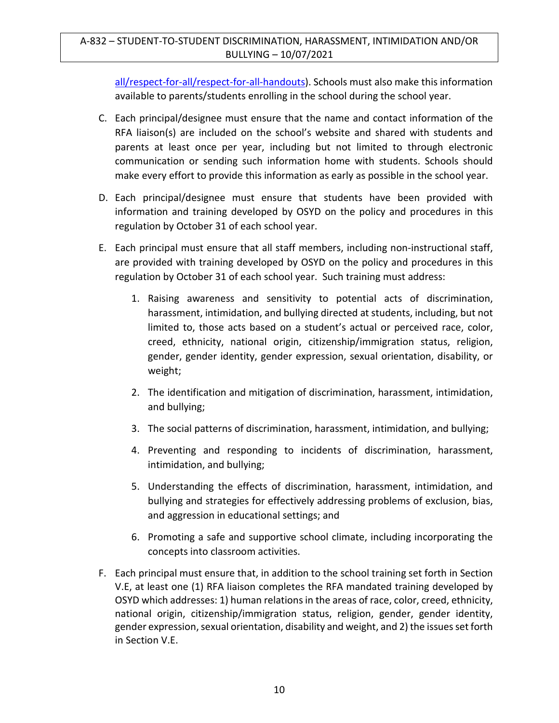## A-832 – STUDENT-TO-STUDENT DISCRIMINATION, HARASSMENT, INTIMIDATION AND/OR BULLYING – 10/07/2021

[all/respect-for-all/respect-for-all-handouts\)](https://www.schools.nyc.gov/school-life/policies-for-all/respect-for-all/respect-for-all-handouts). Schools must also make this information available to parents/students enrolling in the school during the school year.

- C. Each principal/designee must ensure that the name and contact information of the RFA liaison(s) are included on the school's website and shared with students and parents at least once per year, including but not limited to through electronic communication or sending such information home with students. Schools should make every effort to provide this information as early as possible in the school year.
- D. Each principal/designee must ensure that students have been provided with information and training developed by OSYD on the policy and procedures in this regulation by October 31 of each school year.
- E. Each principal must ensure that all staff members, including non-instructional staff, are provided with training developed by OSYD on the policy and procedures in this regulation by October 31 of each school year. Such training must address:
	- 1. Raising awareness and sensitivity to potential acts of discrimination, harassment, intimidation, and bullying directed at students, including, but not limited to, those acts based on a student's actual or perceived race, color, creed, ethnicity, national origin, citizenship/immigration status, religion, gender, gender identity, gender expression, sexual orientation, disability, or weight;
	- 2. The identification and mitigation of discrimination, harassment, intimidation, and bullying;
	- 3. The social patterns of discrimination, harassment, intimidation, and bullying;
	- 4. Preventing and responding to incidents of discrimination, harassment, intimidation, and bullying;
	- 5. Understanding the effects of discrimination, harassment, intimidation, and bullying and strategies for effectively addressing problems of exclusion, bias, and aggression in educational settings; and
	- 6. Promoting a safe and supportive school climate, including incorporating the concepts into classroom activities.
- F. Each principal must ensure that, in addition to the school training set forth in Section V.E, at least one (1) RFA liaison completes the RFA mandated training developed by OSYD which addresses: 1) human relations in the areas of race, color, creed, ethnicity, national origin, citizenship/immigration status, religion, gender, gender identity, gender expression, sexual orientation, disability and weight, and 2) the issues set forth in Section V.E.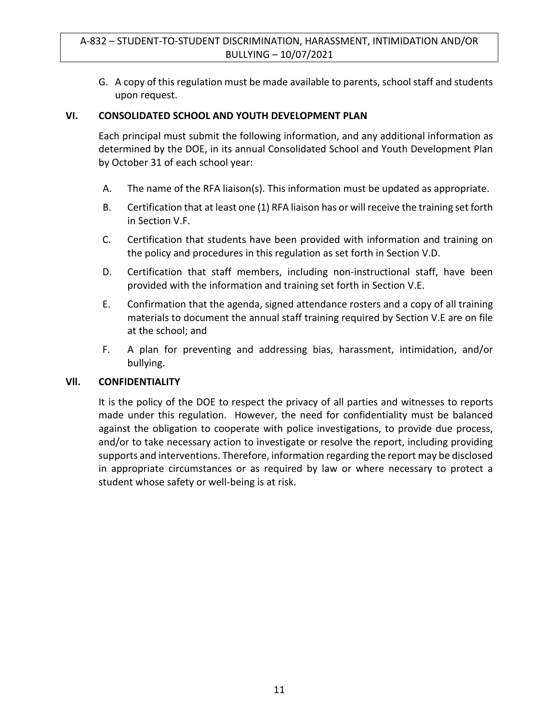G. A copy of this regulation must be made available to parents, school staff and students upon request.

### **VI. CONSOLIDATED SCHOOL AND YOUTH DEVELOPMENT PLAN**

Each principal must submit the following information, and any additional information as determined by the DOE, in its annual Consolidated School and Youth Development Plan by October 31 of each school year:

- A. The name of the RFA liaison(s). This information must be updated as appropriate.
- B. Certification that at least one (1) RFA liaison has or will receive the training set forth in Section V.F.
- C. Certification that students have been provided with information and training on the policy and procedures in this regulation as set forth in Section V.D.
- D. Certification that staff members, including non-instructional staff, have been provided with the information and training set forth in Section V.E.
- E. Confirmation that the agenda, signed attendance rosters and a copy of all training materials to document the annual staff training required by Section V.E are on file at the school; and
- F. A plan for preventing and addressing bias, harassment, intimidation, and/or bullying.

#### **Vll. CONFIDENTIALITY**

It is the policy of the DOE to respect the privacy of all parties and witnesses to reports made under this regulation. However, the need for confidentiality must be balanced against the obligation to cooperate with police investigations, to provide due process, and/or to take necessary action to investigate or resolve the report, including providing supports and interventions. Therefore, information regarding the report may be disclosed in appropriate circumstances or as required by law or where necessary to protect a student whose safety or well-being is at risk.